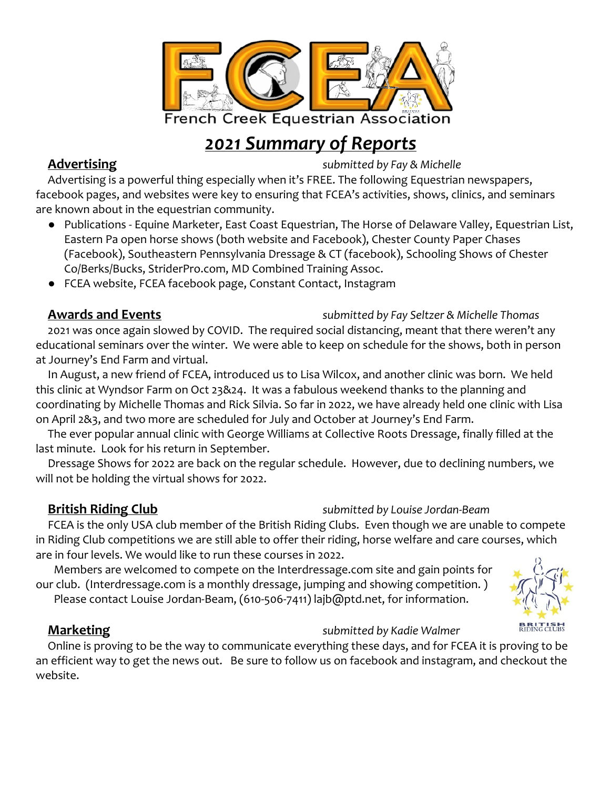

# *2021 Summary of Reports*

**Advertising** *submitted by Fay & Michelle*

Advertising is a powerful thing especially when it's FREE. The following Equestrian newspapers, facebook pages, and websites were key to ensuring that FCEA's activities, shows, clinics, and seminars are known about in the equestrian community.

- Publications Equine Marketer, East Coast Equestrian, The Horse of Delaware Valley, Equestrian List, Eastern Pa open horse shows (both website and Facebook), Chester County Paper Chases (Facebook), Southeastern Pennsylvania Dressage & CT (facebook), Schooling Shows of Chester Co/Berks/Bucks, StriderPro.com, MD Combined Training Assoc.
- FCEA website, FCEA facebook page, Constant Contact, Instagram

2021 was once again slowed by COVID. The required social distancing, meant that there weren't any educational seminars over the winter. We were able to keep on schedule for the shows, both in person at Journey's End Farm and virtual.

In August, a new friend of FCEA, introduced us to Lisa Wilcox, and another clinic was born. We held this clinic at Wyndsor Farm on Oct 23&24. It was a fabulous weekend thanks to the planning and coordinating by Michelle Thomas and Rick Silvia. So far in 2022, we have already held one clinic with Lisa on April 2&3, and two more are scheduled for July and October at Journey's End Farm.

The ever popular annual clinic with George Williams at Collective Roots Dressage, finally filled at the last minute. Look for his return in September.

Dressage Shows for 2022 are back on the regular schedule. However, due to declining numbers, we will not be holding the virtual shows for 2022.

### **British Riding Club** *submitted by Louise Jordan-Beam*

FCEA is the only USA club member of the British Riding Clubs. Even though we are unable to compete in Riding Club competitions we are still able to offer their riding, horse welfare and care courses, which are in four levels. We would like to run these courses in 2022.

 Members are welcomed to compete on the Interdressage.com site and gain points for our club. (Interdressage.com is a monthly dressage, jumping and showing competition. )

Please contact Louise Jordan-Beam, (610-506-7411) lajb@ptd.net, for information.



### **Marketing** *submitted by Kadie Walmer*

Online is proving to be the way to communicate everything these days, and for FCEA it is proving to be an efficient way to get the news out. Be sure to follow us on facebook and instagram, and checkout the website.

### **Awards and Events** *submitted by Fay Seltzer & Michelle Thomas*